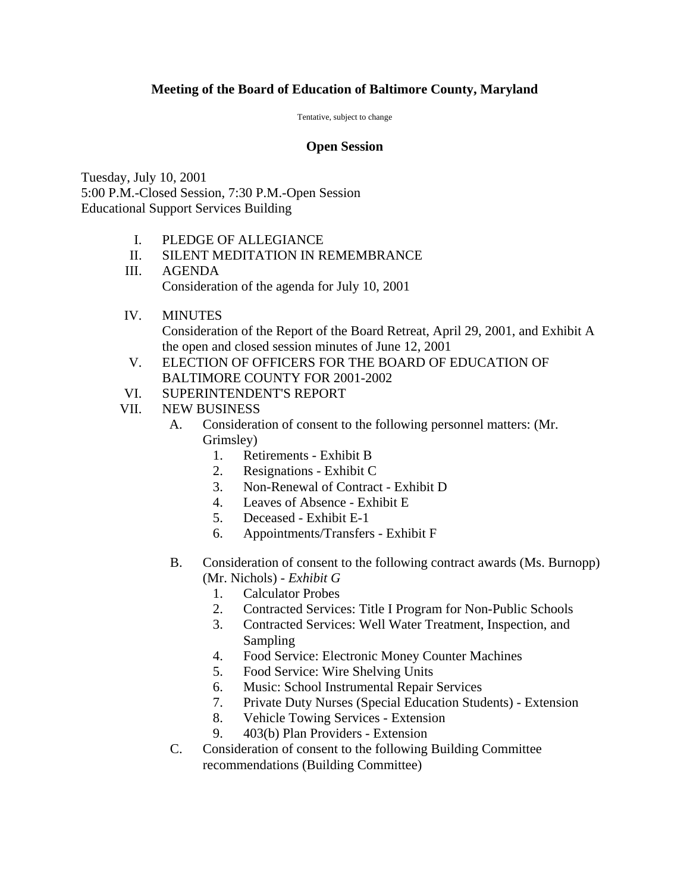## **Meeting of the Board of Education of Baltimore County, Maryland**

Tentative, subject to change

## **Open Session**

Tuesday, July 10, 2001 5:00 P.M.-Closed Session, 7:30 P.M.-Open Session Educational Support Services Building

- I. PLEDGE OF ALLEGIANCE
- II. SILENT MEDITATION IN REMEMBRANCE
- III. AGENDA Consideration of the agenda for July 10, 2001
- IV. MINUTES

Consideration of the Report of the Board Retreat, April 29, 2001, and Exhibit A the open and closed session minutes of June 12, 2001

- V. ELECTION OF OFFICERS FOR THE BOARD OF EDUCATION OF BALTIMORE COUNTY FOR 2001-2002
- VI. SUPERINTENDENT'S REPORT
- VII. NEW BUSINESS
	- A. Consideration of consent to the following personnel matters: (Mr. Grimsley)
		- 1. Retirements Exhibit B
		- 2. Resignations Exhibit C
		- 3. Non-Renewal of Contract Exhibit D
		- 4. Leaves of Absence Exhibit E
		- 5. Deceased Exhibit E-1
		- 6. Appointments/Transfers Exhibit F
	- B. Consideration of consent to the following contract awards (Ms. Burnopp) (Mr. Nichols) - *Exhibit G* 
		- 1. Calculator Probes
		- 2. Contracted Services: Title I Program for Non-Public Schools
		- 3. Contracted Services: Well Water Treatment, Inspection, and Sampling
		- 4. Food Service: Electronic Money Counter Machines
		- 5. Food Service: Wire Shelving Units
		- 6. Music: School Instrumental Repair Services
		- 7. Private Duty Nurses (Special Education Students) Extension
		- 8. Vehicle Towing Services Extension
		- 9. 403(b) Plan Providers Extension
	- C. Consideration of consent to the following Building Committee recommendations (Building Committee)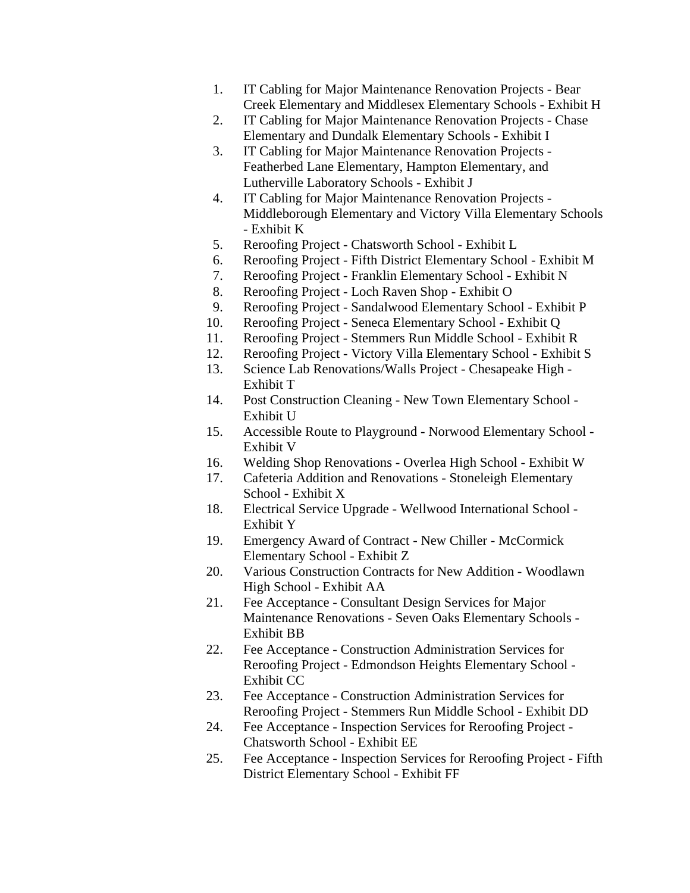- 1. IT Cabling for Major Maintenance Renovation Projects Bear Creek Elementary and Middlesex Elementary Schools - Exhibit H
- 2. IT Cabling for Major Maintenance Renovation Projects Chase Elementary and Dundalk Elementary Schools - Exhibit I
- 3. IT Cabling for Major Maintenance Renovation Projects Featherbed Lane Elementary, Hampton Elementary, and Lutherville Laboratory Schools - Exhibit J
- 4. IT Cabling for Major Maintenance Renovation Projects Middleborough Elementary and Victory Villa Elementary Schools - Exhibit K
- 5. Reroofing Project Chatsworth School Exhibit L
- 6. Reroofing Project Fifth District Elementary School Exhibit M
- 7. Reroofing Project Franklin Elementary School Exhibit N
- 8. Reroofing Project Loch Raven Shop Exhibit O
- 9. Reroofing Project Sandalwood Elementary School Exhibit P
- 10. Reroofing Project Seneca Elementary School Exhibit Q
- 11. Reroofing Project Stemmers Run Middle School Exhibit R
- 12. Reroofing Project Victory Villa Elementary School Exhibit S
- 13. Science Lab Renovations/Walls Project Chesapeake High Exhibit T
- 14. Post Construction Cleaning New Town Elementary School Exhibit U
- 15. Accessible Route to Playground Norwood Elementary School Exhibit V
- 16. Welding Shop Renovations Overlea High School Exhibit W
- 17. Cafeteria Addition and Renovations Stoneleigh Elementary School - Exhibit X
- 18. Electrical Service Upgrade Wellwood International School Exhibit Y
- 19. Emergency Award of Contract New Chiller McCormick Elementary School - Exhibit Z
- 20. Various Construction Contracts for New Addition Woodlawn High School - Exhibit AA
- 21. Fee Acceptance Consultant Design Services for Major Maintenance Renovations - Seven Oaks Elementary Schools - Exhibit BB
- 22. Fee Acceptance Construction Administration Services for Reroofing Project - Edmondson Heights Elementary School - Exhibit CC
- 23. Fee Acceptance Construction Administration Services for Reroofing Project - Stemmers Run Middle School - Exhibit DD
- 24. Fee Acceptance Inspection Services for Reroofing Project Chatsworth School - Exhibit EE
- 25. Fee Acceptance Inspection Services for Reroofing Project Fifth District Elementary School - Exhibit FF